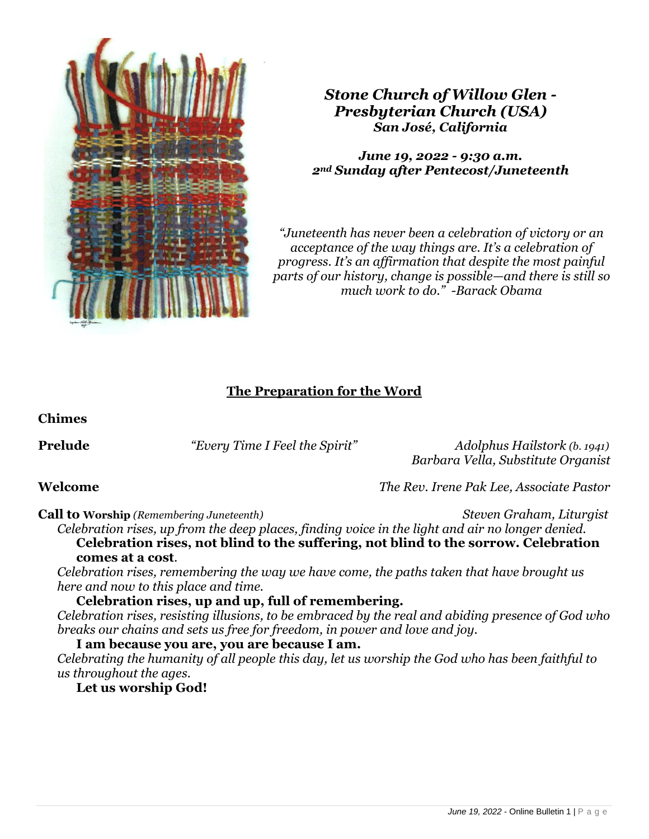

# *Stone Church of Willow Glen - Presbyterian Church (USA) San José, California*

*June 19, 2022 - 9:30 a.m. 2nd Sunday after Pentecost/Juneteenth*

*"Juneteenth has never been a celebration of victory or an acceptance of the way things are. It's a celebration of progress. It's an affirmation that despite the most painful parts of our history, change is possible—and there is still so much work to do." -Barack Obama*

# **The Preparation for the Word**

**Chimes**

**Prelude** *"Every Time I Feel the Spirit" Adolphus Hailstork (b. 1941) Barbara Vella, Substitute Organist*

# **Welcome** *The Rev. Irene Pak Lee, Associate Pastor*

**Call to Worship** *(Remembering Juneteenth) Steven Graham, Liturgist*

*Celebration rises, up from the deep places, finding voice in the light and air no longer denied.* **Celebration rises, not blind to the suffering, not blind to the sorrow. Celebration comes at a cost***.*

*Celebration rises, remembering the way we have come, the paths taken that have brought us here and now to this place and time.*

**Celebration rises, up and up, full of remembering.**

*Celebration rises, resisting illusions, to be embraced by the real and abiding presence of God who breaks our chains and sets us free for freedom, in power and love and joy.*

**I am because you are, you are because I am.** *Celebrating the humanity of all people this day, let us worship the God who has been faithful to us throughout the ages.*

**Let us worship God!**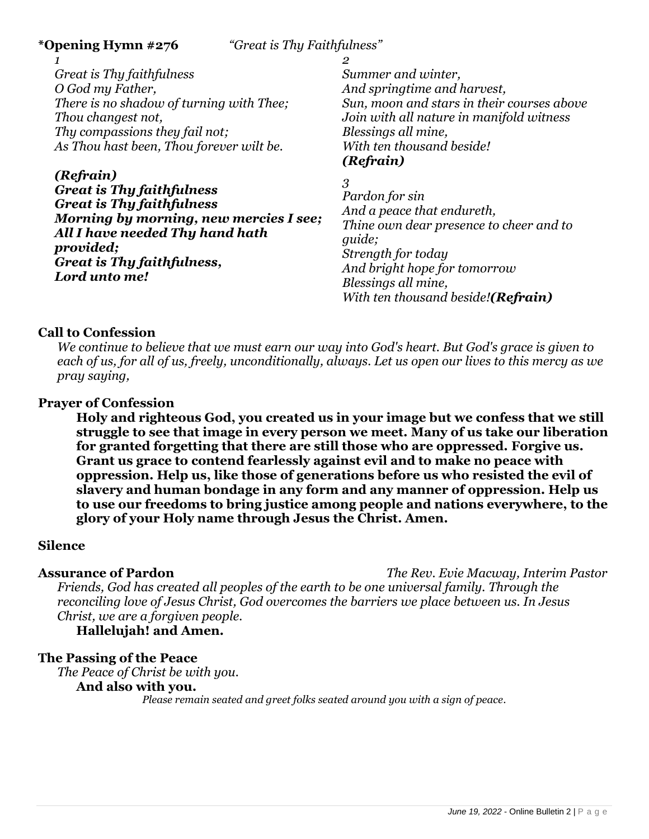|  |  | "Great is Thy Faithfulness" |  |
|--|--|-----------------------------|--|
|--|--|-----------------------------|--|

# **\*Opening Hymn #276** *"Great is Thy Faithfulness"*

*1 Great is Thy faithfulness O God my Father, There is no shadow of turning with Thee; Thou changest not, Thy compassions they fail not; As Thou hast been, Thou forever wilt be.*

*(Refrain) Great is Thy faithfulness Great is Thy faithfulness Morning by morning, new mercies I see; All I have needed Thy hand hath provided; Great is Thy faithfulness, Lord unto me!*

*2 Summer and winter, And springtime and harvest, Sun, moon and stars in their courses above Join with all nature in manifold witness Blessings all mine, With ten thousand beside! (Refrain)*

*3* 

*Pardon for sin And a peace that endureth, Thine own dear presence to cheer and to guide; Strength for today And bright hope for tomorrow Blessings all mine, With ten thousand beside!(Refrain)*

# **Call to Confession**

*We continue to believe that we must earn our way into God's heart. But God's grace is given to each of us, for all of us, freely, unconditionally, always. Let us open our lives to this mercy as we pray saying,*

# **Prayer of Confession**

**Holy and righteous God, you created us in your image but we confess that we still struggle to see that image in every person we meet. Many of us take our liberation for granted forgetting that there are still those who are oppressed. Forgive us. Grant us grace to contend fearlessly against evil and to make no peace with oppression. Help us, like those of generations before us who resisted the evil of slavery and human bondage in any form and any manner of oppression. Help us to use our freedoms to bring justice among people and nations everywhere, to the glory of your Holy name through Jesus the Christ. Amen.** 

# **Silence**

**Assurance of Pardon** *The Rev. Evie Macway, Interim Pastor Friends, God has created all peoples of the earth to be one universal family. Through the reconciling love of Jesus Christ, God overcomes the barriers we place between us. In Jesus Christ, we are a forgiven people.*

# **Hallelujah! and Amen.**

# **The Passing of the Peace**

*The Peace of Christ be with you.* **And also with you.** *Please remain seated and greet folks seated around you with a sign of peace.*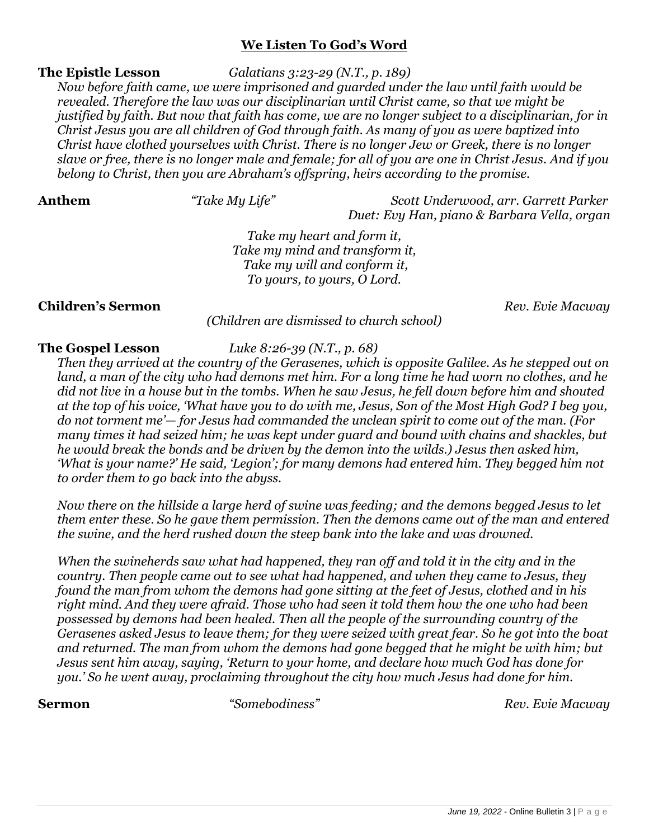# **We Listen To God's Word**

**The Epistle Lesson** *Galatians 3:23-29 (N.T., p. 189)*

*Now before faith came, we were imprisoned and guarded under the law until faith would be revealed. Therefore the law was our disciplinarian until Christ came, so that we might be justified by faith. But now that faith has come, we are no longer subject to a disciplinarian, for in Christ Jesus you are all children of God through faith. As many of you as were baptized into Christ have clothed yourselves with Christ. There is no longer Jew or Greek, there is no longer slave or free, there is no longer male and female; for all of you are one in Christ Jesus. And if you belong to Christ, then you are Abraham's offspring, heirs according to the promise.*

**Anthem** *"Take My Life" Scott Underwood, arr. Garrett Parker Duet: Evy Han, piano & Barbara Vella, organ*

> *Take my heart and form it, Take my mind and transform it, Take my will and conform it, To yours, to yours, O Lord.*

*(Children are dismissed to church school)*

# **Children's Sermon** *Rev. Evie Macway*

**The Gospel Lesson** *Luke 8:26-39 (N.T., p. 68)*

*Then they arrived at the country of the Gerasenes, which is opposite Galilee. As he stepped out on land, a man of the city who had demons met him. For a long time he had worn no clothes, and he did not live in a house but in the tombs. When he saw Jesus, he fell down before him and shouted at the top of his voice, 'What have you to do with me, Jesus, Son of the Most High God? I beg you, do not torment me'— for Jesus had commanded the unclean spirit to come out of the man. (For many times it had seized him; he was kept under guard and bound with chains and shackles, but he would break the bonds and be driven by the demon into the wilds.) Jesus then asked him, 'What is your name?' He said, 'Legion'; for many demons had entered him. They begged him not to order them to go back into the abyss.*

*Now there on the hillside a large herd of swine was feeding; and the demons begged Jesus to let them enter these. So he gave them permission. Then the demons came out of the man and entered the swine, and the herd rushed down the steep bank into the lake and was drowned.*

*When the swineherds saw what had happened, they ran off and told it in the city and in the country. Then people came out to see what had happened, and when they came to Jesus, they found the man from whom the demons had gone sitting at the feet of Jesus, clothed and in his right mind. And they were afraid. Those who had seen it told them how the one who had been possessed by demons had been healed. Then all the people of the surrounding country of the Gerasenes asked Jesus to leave them; for they were seized with great fear. So he got into the boat and returned. The man from whom the demons had gone begged that he might be with him; but Jesus sent him away, saying, 'Return to your home, and declare how much God has done for you.' So he went away, proclaiming throughout the city how much Jesus had done for him.*

**Sermon** *"Somebodiness" Rev. Evie Macway*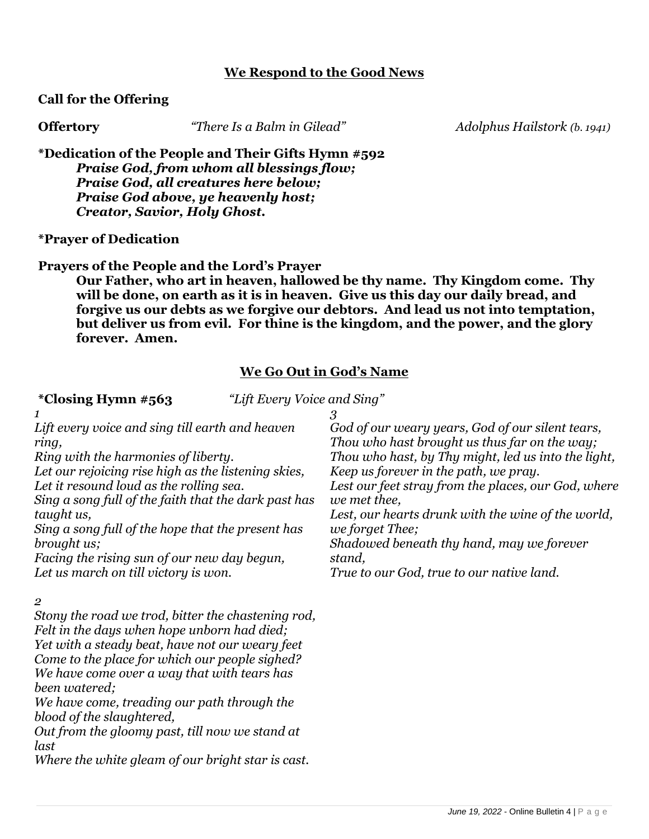### **We Respond to the Good News**

### **Call for the Offering**

**Offertory** *"There Is a Balm in Gilead" Adolphus Hailstork (b. 1941)*

**\*Dedication of the People and Their Gifts Hymn #592**  *Praise God, from whom all blessings flow; Praise God, all creatures here below; Praise God above, ye heavenly host; Creator, Savior, Holy Ghost.*

**\*Prayer of Dedication**

#### **Prayers of the People and the Lord's Prayer**

**Our Father, who art in heaven, hallowed be thy name. Thy Kingdom come. Thy will be done, on earth as it is in heaven. Give us this day our daily bread, and forgive us our debts as we forgive our debtors. And lead us not into temptation, but deliver us from evil. For thine is the kingdom, and the power, and the glory forever. Amen.**

### **We Go Out in God's Name**

| *Closing Hymn #563<br>"Lift Every Voice and Sing"                                                                                                                                                                                                                                                                                                                                                                                                                                     |                                                       |
|---------------------------------------------------------------------------------------------------------------------------------------------------------------------------------------------------------------------------------------------------------------------------------------------------------------------------------------------------------------------------------------------------------------------------------------------------------------------------------------|-------------------------------------------------------|
| 1<br>Lift every voice and sing till earth and heaven                                                                                                                                                                                                                                                                                                                                                                                                                                  | 3<br>God of our weary years, God of our silent tears, |
| ring,                                                                                                                                                                                                                                                                                                                                                                                                                                                                                 | Thou who hast brought us thus far on the way;         |
| Ring with the harmonies of liberty.                                                                                                                                                                                                                                                                                                                                                                                                                                                   | Thou who hast, by Thy might, led us into the light,   |
| Let our rejoicing rise high as the listening skies,                                                                                                                                                                                                                                                                                                                                                                                                                                   | Keep us forever in the path, we pray.                 |
| Let it resound loud as the rolling sea.                                                                                                                                                                                                                                                                                                                                                                                                                                               | Lest our feet stray from the places, our God, where   |
| Sing a song full of the faith that the dark past has                                                                                                                                                                                                                                                                                                                                                                                                                                  | we met thee,                                          |
| taught us,                                                                                                                                                                                                                                                                                                                                                                                                                                                                            | Lest, our hearts drunk with the wine of the world,    |
| Sing a song full of the hope that the present has                                                                                                                                                                                                                                                                                                                                                                                                                                     | we forget Thee;                                       |
| <i>brought us;</i>                                                                                                                                                                                                                                                                                                                                                                                                                                                                    | Shadowed beneath thy hand, may we forever             |
| Facing the rising sun of our new day begun,                                                                                                                                                                                                                                                                                                                                                                                                                                           | stand,                                                |
| Let us march on till victory is won.                                                                                                                                                                                                                                                                                                                                                                                                                                                  | True to our God, true to our native land.             |
| $\boldsymbol{2}$<br>Stony the road we trod, bitter the chastening rod,<br>Felt in the days when hope unborn had died;<br>Yet with a steady beat, have not our weary feet<br>Come to the place for which our people sighed?<br>We have come over a way that with tears has<br>been watered;<br>We have come, treading our path through the<br>blood of the slaughtered,<br>Out from the gloomy past, till now we stand at<br>last<br>Where the white gleam of our bright star is cast. |                                                       |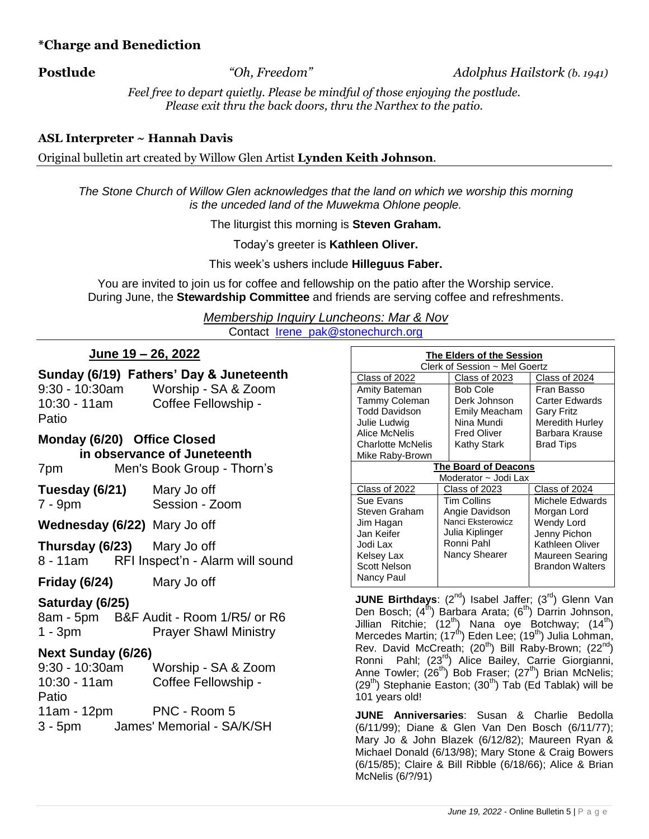# **\*Charge and Benediction**

**Postlude** *"Oh, Freedom" Adolphus Hailstork (b. 1941)*

*Feel free to depart quietly. Please be mindful of those enjoying the postlude. Please exit thru the back doors, thru the Narthex to the patio.*

#### **ASL Interpreter ~ Hannah Davis**

Original bulletin art created by Willow Glen Artist **Lynden Keith Johnson**.

*The Stone Church of Willow Glen acknowledges that the land on which we worship this morning is the unceded land of the Muwekma Ohlone people.*

The liturgist this morning is **Steven Graham.**

Today's greeter is **Kathleen Oliver.**

This week's ushers include **Hilleguus Faber.**

You are invited to join us for coffee and fellowship on the patio after the Worship service. During June, the **Stewardship Committee** and friends are serving coffee and refreshments.

> *Membership Inquiry Luncheons: Mar & Nov* Contact **[Irene\\_pak@stonechurch.org](mailto:Irene_pak@stonechurch.org)**

#### **June 19 – 26, 2022**

# **Sunday (6/19) Fathers' Day & Juneteenth**

9:30 - 10:30am Worship - SA & Zoom 10:30 - 11am Coffee Fellowship - Patio

# **Monday (6/20) Office Closed in observance of Juneteenth**

- 7pm Men's Book Group Thorn's
- **Tuesday (6/21)** Mary Jo off 7 - 9pm Session - Zoom

**Wednesday (6/22)** Mary Jo off

**Thursday (6/23)** Mary Jo off 8 - 11am RFI Inspect'n - Alarm will sound

**Friday (6/24)** Mary Jo off

#### **Saturday (6/25)**

8am - 5pm B&F Audit - Room 1/R5/ or R6 1 - 3pm Prayer Shawl Ministry

#### **Next Sunday (6/26)**

| $9:30 - 10:30$ am | Worship - SA & Zoom       |
|-------------------|---------------------------|
| $10:30 - 11am$    | Coffee Fellowship -       |
| Patio             |                           |
| $11am - 12pm$     | PNC - Room 5              |
| $3 - 5$ pm        | James' Memorial - SA/K/SH |

| The Elders of the Session<br>Clerk of Session ~ Mel Goertz                                                                                    |                                                                                                                             |                                                                                                                              |  |  |  |
|-----------------------------------------------------------------------------------------------------------------------------------------------|-----------------------------------------------------------------------------------------------------------------------------|------------------------------------------------------------------------------------------------------------------------------|--|--|--|
| Class of 2022                                                                                                                                 | Class of 2023                                                                                                               | Class of 2024                                                                                                                |  |  |  |
| Amity Bateman<br><b>Tammy Coleman</b><br><b>Todd Davidson</b><br>Julie Ludwig<br><b>Alice McNelis</b><br>Charlotte McNelis<br>Mike Raby-Brown | <b>Bob Cole</b><br>Derk Johnson<br>Emily Meacham<br>Nina Mundi<br><b>Fred Oliver</b><br>Kathy Stark<br>The Board of Deacons | Fran Basso<br>Carter Edwards<br><b>Gary Fritz</b><br>Meredith Hurley<br>Barbara Krause<br><b>Brad Tips</b>                   |  |  |  |
| Moderator ~ Jodi Lax                                                                                                                          |                                                                                                                             |                                                                                                                              |  |  |  |
| Class of 2022                                                                                                                                 | Class of 2023                                                                                                               | Class of 2024                                                                                                                |  |  |  |
| Sue Evans<br>Steven Graham<br>Jim Hagan<br>Jan Keifer<br>Jodi Lax<br>Kelsey Lax<br><b>Scott Nelson</b><br>Nancy Paul                          | Tim Collins<br>Angie Davidson<br>Nanci Eksterowicz<br>Julia Kiplinger<br>Ronni Pahl<br>Nancy Shearer                        | Michele Edwards<br>Morgan Lord<br>Wendy Lord<br>Jenny Pichon<br>Kathleen Oliver<br>Maureen Searing<br><b>Brandon Walters</b> |  |  |  |

**JUNE Birthdays**: (2<sup>nd</sup>) Isabel Jaffer; (3<sup>rd</sup>) Glenn Van Den Bosch;  $(4^{th})$  Barbara Arata;  $(6^{th})$  Darrin Johnson, Jillian Ritchie;  $(12^{th})$  Nana oye Botchway;  $(14^{th})$ Mercedes Martin; (17<sup>th</sup>) Eden Lee; (19<sup>th</sup>) Julia Lohman, Rev. David McCreath;  $(20^{th})$  Bill Raby-Brown;  $(22^{nd})$ Ronni Pahl; (23<sup>rd</sup>) Alice Bailey, Carrie Giorgianni, Anne Towler;  $(26^{th})$  Bob Fraser;  $(27^{th})$  Brian McNelis;  $(29<sup>th</sup>)$  Stephanie Easton;  $(30<sup>th</sup>)$  Tab (Ed Tablak) will be 101 years old!

**JUNE Anniversaries**: Susan & Charlie Bedolla (6/11/99); Diane & Glen Van Den Bosch (6/11/77); Mary Jo & John Blazek (6/12/82); Maureen Ryan & Michael Donald (6/13/98); Mary Stone & Craig Bowers (6/15/85); Claire & Bill Ribble (6/18/66); Alice & Brian McNelis (6/?/91)